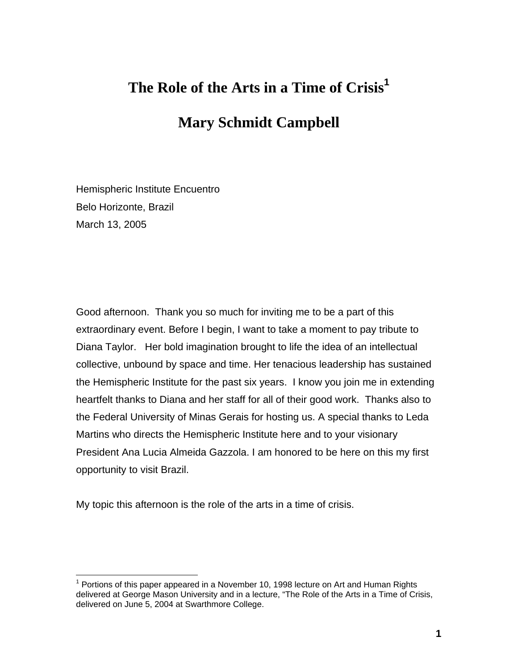# **The Role of the Arts in a Time of Crisis[1](#page-0-0)**

## **Mary Schmidt Campbell**

Hemispheric Institute Encuentro Belo Horizonte, Brazil March 13, 2005

Good afternoon. Thank you so much for inviting me to be a part of this extraordinary event. Before I begin, I want to take a moment to pay tribute to Diana Taylor. Her bold imagination brought to life the idea of an intellectual collective, unbound by space and time. Her tenacious leadership has sustained the Hemispheric Institute for the past six years. I know you join me in extending heartfelt thanks to Diana and her staff for all of their good work. Thanks also to the Federal University of Minas Gerais for hosting us. A special thanks to Leda Martins who directs the Hemispheric Institute here and to your visionary President Ana Lucia Almeida Gazzola. I am honored to be here on this my first opportunity to visit Brazil.

My topic this afternoon is the role of the arts in a time of crisis.

<span id="page-0-0"></span> $\overline{a}$  $1$  Portions of this paper appeared in a November 10, 1998 lecture on Art and Human Rights delivered at George Mason University and in a lecture, "The Role of the Arts in a Time of Crisis, delivered on June 5, 2004 at Swarthmore College.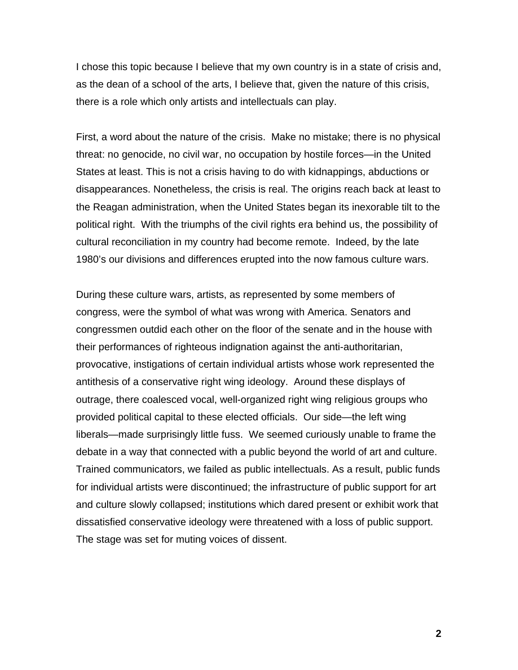I chose this topic because I believe that my own country is in a state of crisis and, as the dean of a school of the arts, I believe that, given the nature of this crisis, there is a role which only artists and intellectuals can play.

First, a word about the nature of the crisis. Make no mistake; there is no physical threat: no genocide, no civil war, no occupation by hostile forces—in the United States at least. This is not a crisis having to do with kidnappings, abductions or disappearances. Nonetheless, the crisis is real. The origins reach back at least to the Reagan administration, when the United States began its inexorable tilt to the political right. With the triumphs of the civil rights era behind us, the possibility of cultural reconciliation in my country had become remote. Indeed, by the late 1980's our divisions and differences erupted into the now famous culture wars.

During these culture wars, artists, as represented by some members of congress, were the symbol of what was wrong with America. Senators and congressmen outdid each other on the floor of the senate and in the house with their performances of righteous indignation against the anti-authoritarian, provocative, instigations of certain individual artists whose work represented the antithesis of a conservative right wing ideology. Around these displays of outrage, there coalesced vocal, well-organized right wing religious groups who provided political capital to these elected officials. Our side—the left wing liberals—made surprisingly little fuss. We seemed curiously unable to frame the debate in a way that connected with a public beyond the world of art and culture. Trained communicators, we failed as public intellectuals. As a result, public funds for individual artists were discontinued; the infrastructure of public support for art and culture slowly collapsed; institutions which dared present or exhibit work that dissatisfied conservative ideology were threatened with a loss of public support. The stage was set for muting voices of dissent.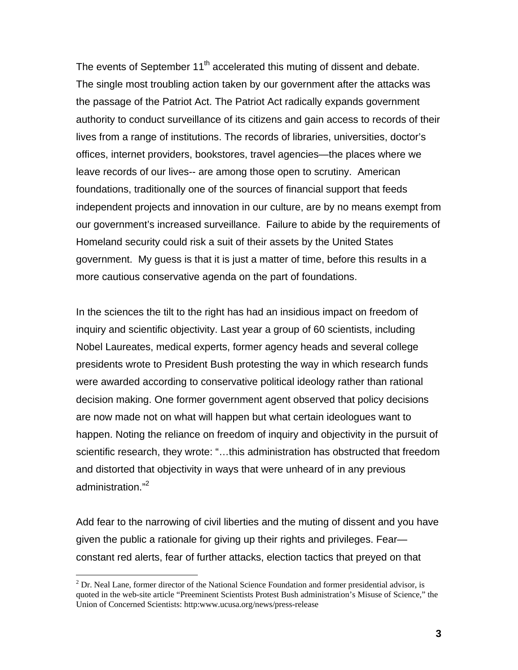The events of September  $11<sup>th</sup>$  accelerated this muting of dissent and debate. The single most troubling action taken by our government after the attacks was the passage of the Patriot Act. The Patriot Act radically expands government authority to conduct surveillance of its citizens and gain access to records of their lives from a range of institutions. The records of libraries, universities, doctor's offices, internet providers, bookstores, travel agencies—the places where we leave records of our lives-- are among those open to scrutiny. American foundations, traditionally one of the sources of financial support that feeds independent projects and innovation in our culture, are by no means exempt from our government's increased surveillance. Failure to abide by the requirements of Homeland security could risk a suit of their assets by the United States government. My guess is that it is just a matter of time, before this results in a more cautious conservative agenda on the part of foundations.

In the sciences the tilt to the right has had an insidious impact on freedom of inquiry and scientific objectivity. Last year a group of 60 scientists, including Nobel Laureates, medical experts, former agency heads and several college presidents wrote to President Bush protesting the way in which research funds were awarded according to conservative political ideology rather than rational decision making. One former government agent observed that policy decisions are now made not on what will happen but what certain ideologues want to happen. Noting the reliance on freedom of inquiry and objectivity in the pursuit of scientific research, they wrote: "…this administration has obstructed that freedom and distorted that objectivity in ways that were unheard of in any previous administration."[2](#page-2-0)

Add fear to the narrowing of civil liberties and the muting of dissent and you have given the public a rationale for giving up their rights and privileges. Fear constant red alerts, fear of further attacks, election tactics that preyed on that

 $\overline{a}$ 

<span id="page-2-0"></span> $2^{2}$  Dr. Neal Lane, former director of the National Science Foundation and former presidential advisor, is quoted in the web-site article "Preeminent Scientists Protest Bush administration's Misuse of Science," the Union of Concerned Scientists: http:www.ucusa.org/news/press-release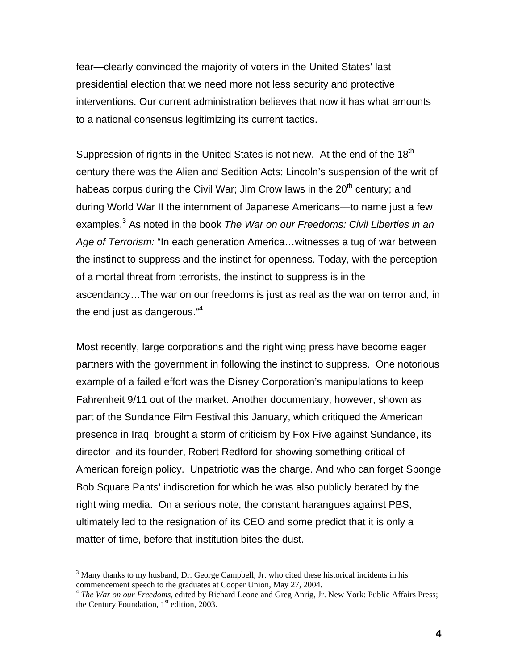fear—clearly convinced the majority of voters in the United States' last presidential election that we need more not less security and protective interventions. Our current administration believes that now it has what amounts to a national consensus legitimizing its current tactics.

Suppression of rights in the United States is not new. At the end of the  $18<sup>th</sup>$ century there was the Alien and Sedition Acts; Lincoln's suspension of the writ of habeas corpus during the Civil War; Jim Crow laws in the  $20<sup>th</sup>$  century; and during World War II the internment of Japanese Americans—to name just a few examples.[3](#page-3-0) As noted in the book *The War on our Freedoms: Civil Liberties in an Age of Terrorism:* "In each generation America…witnesses a tug of war between the instinct to suppress and the instinct for openness. Today, with the perception of a mortal threat from terrorists, the instinct to suppress is in the ascendancy…The war on our freedoms is just as real as the war on terror and, in the end just as dangerous."<sup>[4](#page-3-1)</sup>

Most recently, large corporations and the right wing press have become eager partners with the government in following the instinct to suppress. One notorious example of a failed effort was the Disney Corporation's manipulations to keep Fahrenheit 9/11 out of the market. Another documentary, however, shown as part of the Sundance Film Festival this January, which critiqued the American presence in Iraq brought a storm of criticism by Fox Five against Sundance, its director and its founder, Robert Redford for showing something critical of American foreign policy. Unpatriotic was the charge. And who can forget Sponge Bob Square Pants' indiscretion for which he was also publicly berated by the right wing media. On a serious note, the constant harangues against PBS, ultimately led to the resignation of its CEO and some predict that it is only a matter of time, before that institution bites the dust.

<u>.</u>

<span id="page-3-0"></span> $3$  Many thanks to my husband, Dr. George Campbell, Jr. who cited these historical incidents in his commencement speech to the graduates at Cooper Union, May 27, 2004. 4 *The War on our Freedoms,* edited by Richard Leone and Greg Anrig, Jr. New York: Public Affairs Press;

<span id="page-3-1"></span>the Century Foundation,  $1<sup>st</sup>$  edition, 2003.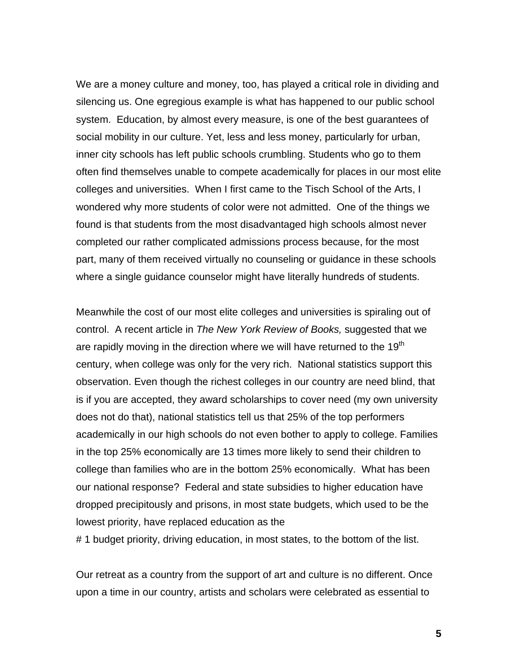We are a money culture and money, too, has played a critical role in dividing and silencing us. One egregious example is what has happened to our public school system. Education, by almost every measure, is one of the best guarantees of social mobility in our culture. Yet, less and less money, particularly for urban, inner city schools has left public schools crumbling. Students who go to them often find themselves unable to compete academically for places in our most elite colleges and universities. When I first came to the Tisch School of the Arts, I wondered why more students of color were not admitted. One of the things we found is that students from the most disadvantaged high schools almost never completed our rather complicated admissions process because, for the most part, many of them received virtually no counseling or guidance in these schools where a single guidance counselor might have literally hundreds of students.

Meanwhile the cost of our most elite colleges and universities is spiraling out of control. A recent article in *The New York Review of Books,* suggested that we are rapidly moving in the direction where we will have returned to the 19<sup>th</sup> century, when college was only for the very rich. National statistics support this observation. Even though the richest colleges in our country are need blind, that is if you are accepted, they award scholarships to cover need (my own university does not do that), national statistics tell us that 25% of the top performers academically in our high schools do not even bother to apply to college. Families in the top 25% economically are 13 times more likely to send their children to college than families who are in the bottom 25% economically. What has been our national response? Federal and state subsidies to higher education have dropped precipitously and prisons, in most state budgets, which used to be the lowest priority, have replaced education as the

# 1 budget priority, driving education, in most states, to the bottom of the list.

Our retreat as a country from the support of art and culture is no different. Once upon a time in our country, artists and scholars were celebrated as essential to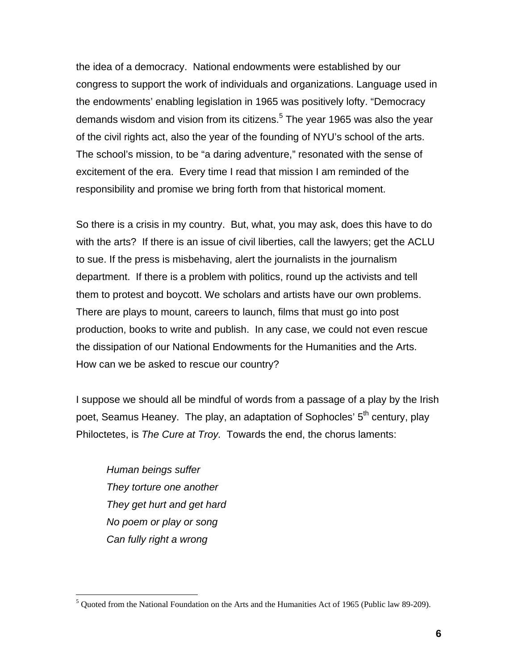the idea of a democracy. National endowments were established by our congress to support the work of individuals and organizations. Language used in the endowments' enabling legislation in 1965 was positively lofty. "Democracy demands wisdom and vision from its citizens.<sup>[5](#page-5-0)</sup> The year 1965 was also the year of the civil rights act, also the year of the founding of NYU's school of the arts. The school's mission, to be "a daring adventure," resonated with the sense of excitement of the era. Every time I read that mission I am reminded of the responsibility and promise we bring forth from that historical moment.

So there is a crisis in my country. But, what, you may ask, does this have to do with the arts? If there is an issue of civil liberties, call the lawyers; get the ACLU to sue. If the press is misbehaving, alert the journalists in the journalism department. If there is a problem with politics, round up the activists and tell them to protest and boycott. We scholars and artists have our own problems. There are plays to mount, careers to launch, films that must go into post production, books to write and publish. In any case, we could not even rescue the dissipation of our National Endowments for the Humanities and the Arts. How can we be asked to rescue our country?

I suppose we should all be mindful of words from a passage of a play by the Irish poet, Seamus Heaney. The play, an adaptation of Sophocles' 5<sup>th</sup> century, play Philoctetes, is *The Cure at Troy.* Towards the end, the chorus laments:

*Human beings suffer They torture one another They get hurt and get hard No poem or play or song Can fully right a wrong* 

<u>.</u>

<span id="page-5-0"></span><sup>5</sup> Quoted from the National Foundation on the Arts and the Humanities Act of 1965 (Public law 89-209).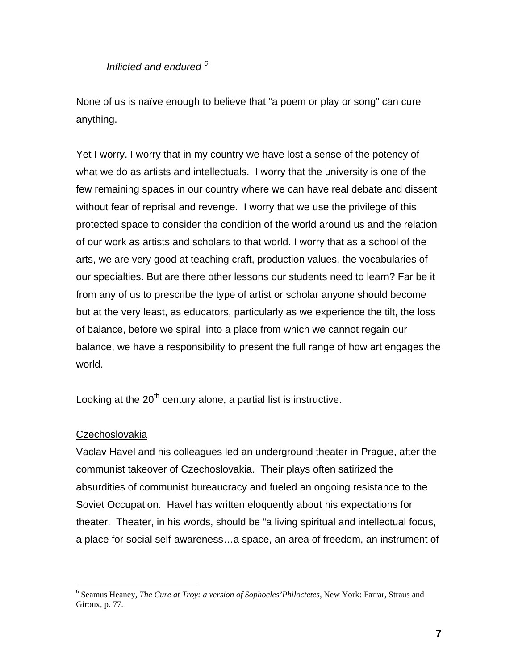## *Inflicted and endured [6](#page-6-0)*

None of us is naïve enough to believe that "a poem or play or song" can cure anything.

Yet I worry. I worry that in my country we have lost a sense of the potency of what we do as artists and intellectuals. I worry that the university is one of the few remaining spaces in our country where we can have real debate and dissent without fear of reprisal and revenge. I worry that we use the privilege of this protected space to consider the condition of the world around us and the relation of our work as artists and scholars to that world. I worry that as a school of the arts, we are very good at teaching craft, production values, the vocabularies of our specialties. But are there other lessons our students need to learn? Far be it from any of us to prescribe the type of artist or scholar anyone should become but at the very least, as educators, particularly as we experience the tilt, the loss of balance, before we spiral into a place from which we cannot regain our balance, we have a responsibility to present the full range of how art engages the world.

Looking at the  $20<sup>th</sup>$  century alone, a partial list is instructive.

### **Czechoslovakia**

 $\overline{a}$ 

Vaclav Havel and his colleagues led an underground theater in Prague, after the communist takeover of Czechoslovakia. Their plays often satirized the absurdities of communist bureaucracy and fueled an ongoing resistance to the Soviet Occupation. Havel has written eloquently about his expectations for theater. Theater, in his words, should be "a living spiritual and intellectual focus, a place for social self-awareness…a space, an area of freedom, an instrument of

<span id="page-6-0"></span><sup>6</sup> Seamus Heaney, *The Cure at Troy: a version of Sophocles'Philoctetes,* New York: Farrar, Straus and Giroux, p. 77.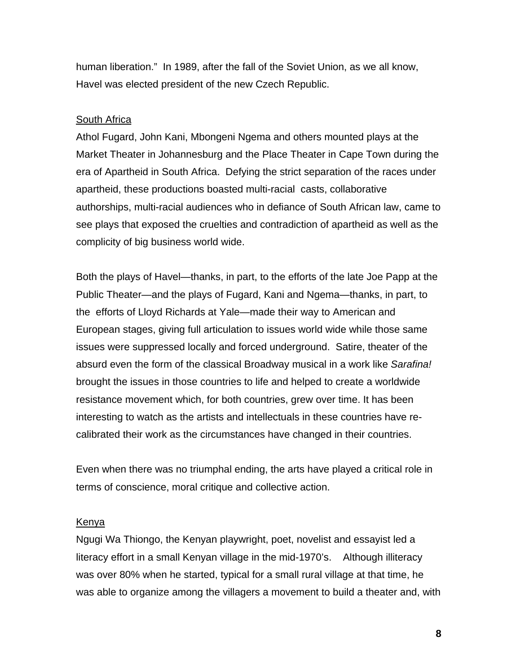human liberation." In 1989, after the fall of the Soviet Union, as we all know, Havel was elected president of the new Czech Republic.

## South Africa

Athol Fugard, John Kani, Mbongeni Ngema and others mounted plays at the Market Theater in Johannesburg and the Place Theater in Cape Town during the era of Apartheid in South Africa. Defying the strict separation of the races under apartheid, these productions boasted multi-racial casts, collaborative authorships, multi-racial audiences who in defiance of South African law, came to see plays that exposed the cruelties and contradiction of apartheid as well as the complicity of big business world wide.

Both the plays of Havel—thanks, in part, to the efforts of the late Joe Papp at the Public Theater—and the plays of Fugard, Kani and Ngema—thanks, in part, to the efforts of Lloyd Richards at Yale—made their way to American and European stages, giving full articulation to issues world wide while those same issues were suppressed locally and forced underground. Satire, theater of the absurd even the form of the classical Broadway musical in a work like *Sarafina!* brought the issues in those countries to life and helped to create a worldwide resistance movement which, for both countries, grew over time. It has been interesting to watch as the artists and intellectuals in these countries have recalibrated their work as the circumstances have changed in their countries.

Even when there was no triumphal ending, the arts have played a critical role in terms of conscience, moral critique and collective action.

### Kenya

Ngugi Wa Thiongo, the Kenyan playwright, poet, novelist and essayist led a literacy effort in a small Kenyan village in the mid-1970's. Although illiteracy was over 80% when he started, typical for a small rural village at that time, he was able to organize among the villagers a movement to build a theater and, with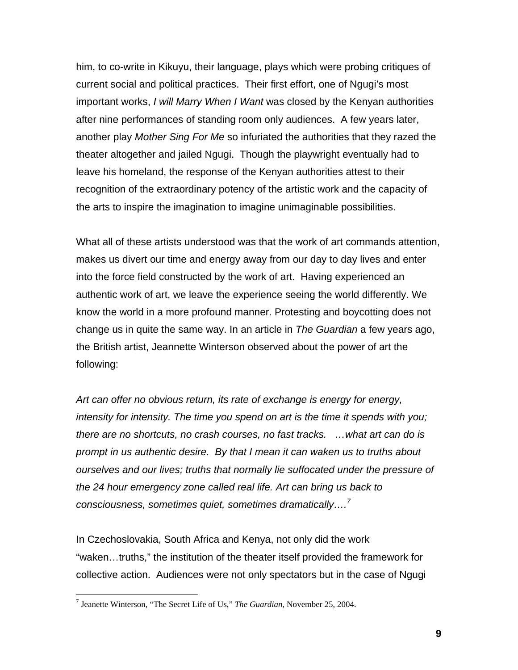him, to co-write in Kikuyu, their language, plays which were probing critiques of current social and political practices. Their first effort, one of Ngugi's most important works, *I will Marry When I Want* was closed by the Kenyan authorities after nine performances of standing room only audiences. A few years later, another play *Mother Sing For Me* so infuriated the authorities that they razed the theater altogether and jailed Ngugi. Though the playwright eventually had to leave his homeland, the response of the Kenyan authorities attest to their recognition of the extraordinary potency of the artistic work and the capacity of the arts to inspire the imagination to imagine unimaginable possibilities.

What all of these artists understood was that the work of art commands attention, makes us divert our time and energy away from our day to day lives and enter into the force field constructed by the work of art. Having experienced an authentic work of art, we leave the experience seeing the world differently. We know the world in a more profound manner. Protesting and boycotting does not change us in quite the same way. In an article in *The Guardian* a few years ago, the British artist, Jeannette Winterson observed about the power of art the following:

*Art can offer no obvious return, its rate of exchange is energy for energy, intensity for intensity. The time you spend on art is the time it spends with you; there are no shortcuts, no crash courses, no fast tracks. …what art can do is prompt in us authentic desire. By that I mean it can waken us to truths about ourselves and our lives; truths that normally lie suffocated under the pressure of the 24 hour emergency zone called real life. Art can bring us back to consciousness, sometimes quiet, sometimes dramatically….[7](#page-8-0)*

In Czechoslovakia, South Africa and Kenya, not only did the work "waken…truths," the institution of the theater itself provided the framework for collective action. Audiences were not only spectators but in the case of Ngugi

 $\overline{a}$ 

<span id="page-8-0"></span><sup>7</sup> Jeanette Winterson, "The Secret Life of Us," *The Guardian,* November 25, 2004.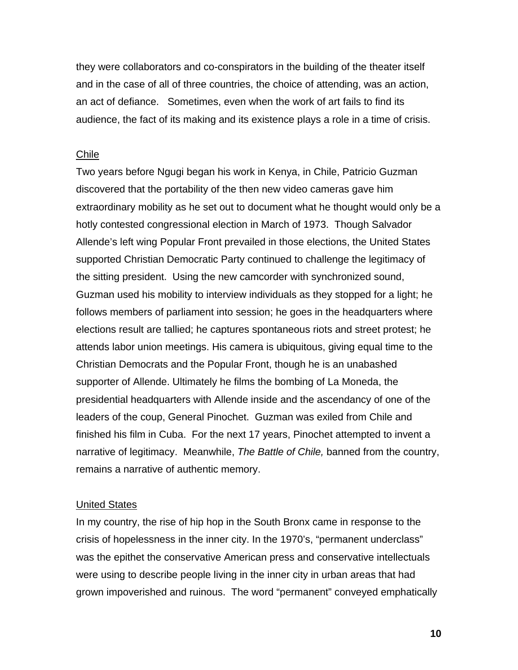they were collaborators and co-conspirators in the building of the theater itself and in the case of all of three countries, the choice of attending, was an action, an act of defiance. Sometimes, even when the work of art fails to find its audience, the fact of its making and its existence plays a role in a time of crisis.

#### Chile

Two years before Ngugi began his work in Kenya, in Chile, Patricio Guzman discovered that the portability of the then new video cameras gave him extraordinary mobility as he set out to document what he thought would only be a hotly contested congressional election in March of 1973. Though Salvador Allende's left wing Popular Front prevailed in those elections, the United States supported Christian Democratic Party continued to challenge the legitimacy of the sitting president. Using the new camcorder with synchronized sound, Guzman used his mobility to interview individuals as they stopped for a light; he follows members of parliament into session; he goes in the headquarters where elections result are tallied; he captures spontaneous riots and street protest; he attends labor union meetings. His camera is ubiquitous, giving equal time to the Christian Democrats and the Popular Front, though he is an unabashed supporter of Allende. Ultimately he films the bombing of La Moneda, the presidential headquarters with Allende inside and the ascendancy of one of the leaders of the coup, General Pinochet. Guzman was exiled from Chile and finished his film in Cuba. For the next 17 years, Pinochet attempted to invent a narrative of legitimacy. Meanwhile, *The Battle of Chile,* banned from the country, remains a narrative of authentic memory.

### United States

In my country, the rise of hip hop in the South Bronx came in response to the crisis of hopelessness in the inner city. In the 1970's, "permanent underclass" was the epithet the conservative American press and conservative intellectuals were using to describe people living in the inner city in urban areas that had grown impoverished and ruinous. The word "permanent" conveyed emphatically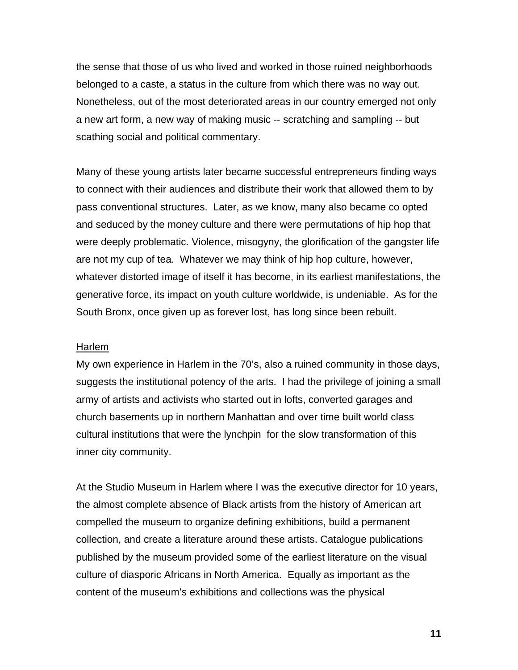the sense that those of us who lived and worked in those ruined neighborhoods belonged to a caste, a status in the culture from which there was no way out. Nonetheless, out of the most deteriorated areas in our country emerged not only a new art form, a new way of making music -- scratching and sampling -- but scathing social and political commentary.

Many of these young artists later became successful entrepreneurs finding ways to connect with their audiences and distribute their work that allowed them to by pass conventional structures. Later, as we know, many also became co opted and seduced by the money culture and there were permutations of hip hop that were deeply problematic. Violence, misogyny, the glorification of the gangster life are not my cup of tea. Whatever we may think of hip hop culture, however, whatever distorted image of itself it has become, in its earliest manifestations, the generative force, its impact on youth culture worldwide, is undeniable. As for the South Bronx, once given up as forever lost, has long since been rebuilt.

#### Harlem

My own experience in Harlem in the 70's, also a ruined community in those days, suggests the institutional potency of the arts. I had the privilege of joining a small army of artists and activists who started out in lofts, converted garages and church basements up in northern Manhattan and over time built world class cultural institutions that were the lynchpin for the slow transformation of this inner city community.

At the Studio Museum in Harlem where I was the executive director for 10 years, the almost complete absence of Black artists from the history of American art compelled the museum to organize defining exhibitions, build a permanent collection, and create a literature around these artists. Catalogue publications published by the museum provided some of the earliest literature on the visual culture of diasporic Africans in North America. Equally as important as the content of the museum's exhibitions and collections was the physical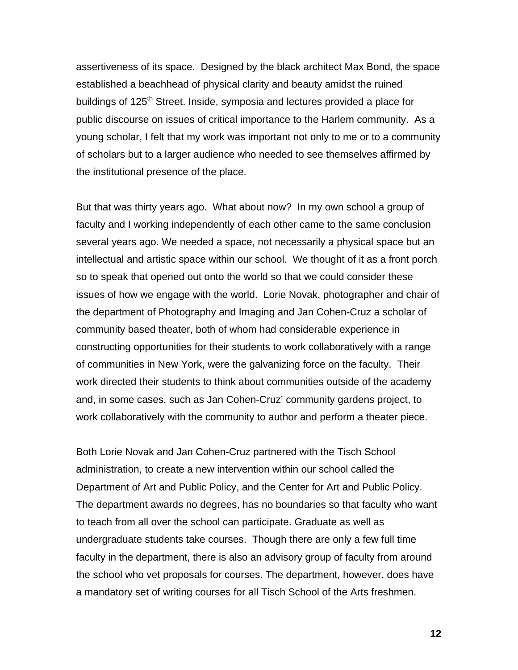assertiveness of its space. Designed by the black architect Max Bond, the space established a beachhead of physical clarity and beauty amidst the ruined buildings of 125<sup>th</sup> Street. Inside, symposia and lectures provided a place for public discourse on issues of critical importance to the Harlem community. As a young scholar, I felt that my work was important not only to me or to a community of scholars but to a larger audience who needed to see themselves affirmed by the institutional presence of the place.

But that was thirty years ago. What about now? In my own school a group of faculty and I working independently of each other came to the same conclusion several years ago. We needed a space, not necessarily a physical space but an intellectual and artistic space within our school. We thought of it as a front porch so to speak that opened out onto the world so that we could consider these issues of how we engage with the world. Lorie Novak, photographer and chair of the department of Photography and Imaging and Jan Cohen-Cruz a scholar of community based theater, both of whom had considerable experience in constructing opportunities for their students to work collaboratively with a range of communities in New York, were the galvanizing force on the faculty. Their work directed their students to think about communities outside of the academy and, in some cases, such as Jan Cohen-Cruz' community gardens project, to work collaboratively with the community to author and perform a theater piece.

Both Lorie Novak and Jan Cohen-Cruz partnered with the Tisch School administration, to create a new intervention within our school called the Department of Art and Public Policy, and the Center for Art and Public Policy. The department awards no degrees, has no boundaries so that faculty who want to teach from all over the school can participate. Graduate as well as undergraduate students take courses. Though there are only a few full time faculty in the department, there is also an advisory group of faculty from around the school who vet proposals for courses. The department, however, does have a mandatory set of writing courses for all Tisch School of the Arts freshmen.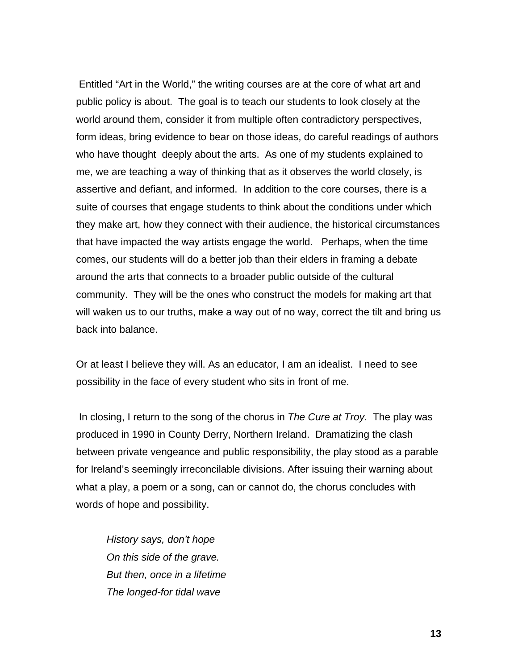Entitled "Art in the World," the writing courses are at the core of what art and public policy is about. The goal is to teach our students to look closely at the world around them, consider it from multiple often contradictory perspectives, form ideas, bring evidence to bear on those ideas, do careful readings of authors who have thought deeply about the arts. As one of my students explained to me, we are teaching a way of thinking that as it observes the world closely, is assertive and defiant, and informed. In addition to the core courses, there is a suite of courses that engage students to think about the conditions under which they make art, how they connect with their audience, the historical circumstances that have impacted the way artists engage the world. Perhaps, when the time comes, our students will do a better job than their elders in framing a debate around the arts that connects to a broader public outside of the cultural community. They will be the ones who construct the models for making art that will waken us to our truths, make a way out of no way, correct the tilt and bring us back into balance.

Or at least I believe they will. As an educator, I am an idealist. I need to see possibility in the face of every student who sits in front of me.

 In closing, I return to the song of the chorus in *The Cure at Troy.* The play was produced in 1990 in County Derry, Northern Ireland. Dramatizing the clash between private vengeance and public responsibility, the play stood as a parable for Ireland's seemingly irreconcilable divisions. After issuing their warning about what a play, a poem or a song, can or cannot do, the chorus concludes with words of hope and possibility.

*History says, don't hope On this side of the grave. But then, once in a lifetime The longed-for tidal wave*